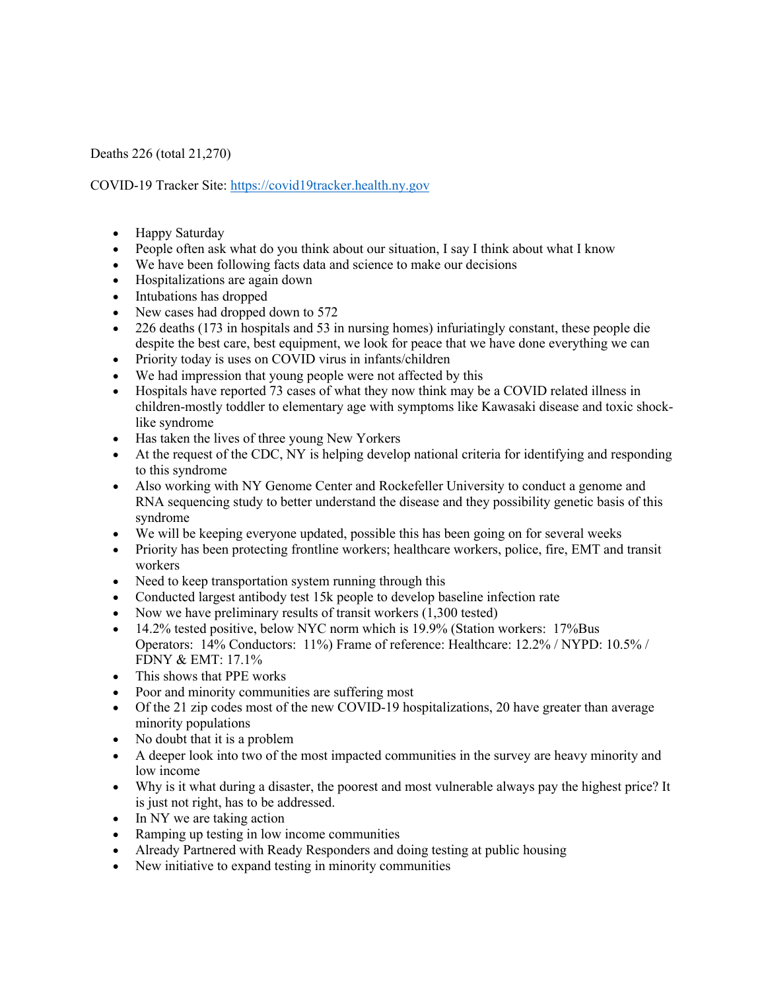Deaths 226 (total 21,270)

COVID-19 Tracker Site: https://covid19tracker.health.ny.gov

- Happy Saturday
- People often ask what do you think about our situation, I say I think about what I know
- We have been following facts data and science to make our decisions
- Hospitalizations are again down
- Intubations has dropped
- New cases had dropped down to 572
- 226 deaths (173 in hospitals and 53 in nursing homes) infuriatingly constant, these people die despite the best care, best equipment, we look for peace that we have done everything we can
- Priority today is uses on COVID virus in infants/children
- We had impression that young people were not affected by this
- Hospitals have reported 73 cases of what they now think may be a COVID related illness in children-mostly toddler to elementary age with symptoms like Kawasaki disease and toxic shocklike syndrome
- Has taken the lives of three young New Yorkers
- At the request of the CDC, NY is helping develop national criteria for identifying and responding to this syndrome
- Also working with NY Genome Center and Rockefeller University to conduct a genome and RNA sequencing study to better understand the disease and they possibility genetic basis of this syndrome
- We will be keeping everyone updated, possible this has been going on for several weeks
- Priority has been protecting frontline workers; healthcare workers, police, fire, EMT and transit workers
- Need to keep transportation system running through this
- Conducted largest antibody test 15k people to develop baseline infection rate
- Now we have preliminary results of transit workers (1,300 tested)
- 14.2% tested positive, below NYC norm which is 19.9% (Station workers: 17%Bus Operators: 14% Conductors: 11%) Frame of reference: Healthcare: 12.2% / NYPD: 10.5% / FDNY & EMT: 17.1%
- This shows that PPE works
- Poor and minority communities are suffering most
- Of the 21 zip codes most of the new COVID-19 hospitalizations, 20 have greater than average minority populations
- No doubt that it is a problem
- A deeper look into two of the most impacted communities in the survey are heavy minority and low income
- Why is it what during a disaster, the poorest and most vulnerable always pay the highest price? It is just not right, has to be addressed.
- In NY we are taking action
- Ramping up testing in low income communities
- Already Partnered with Ready Responders and doing testing at public housing
- New initiative to expand testing in minority communities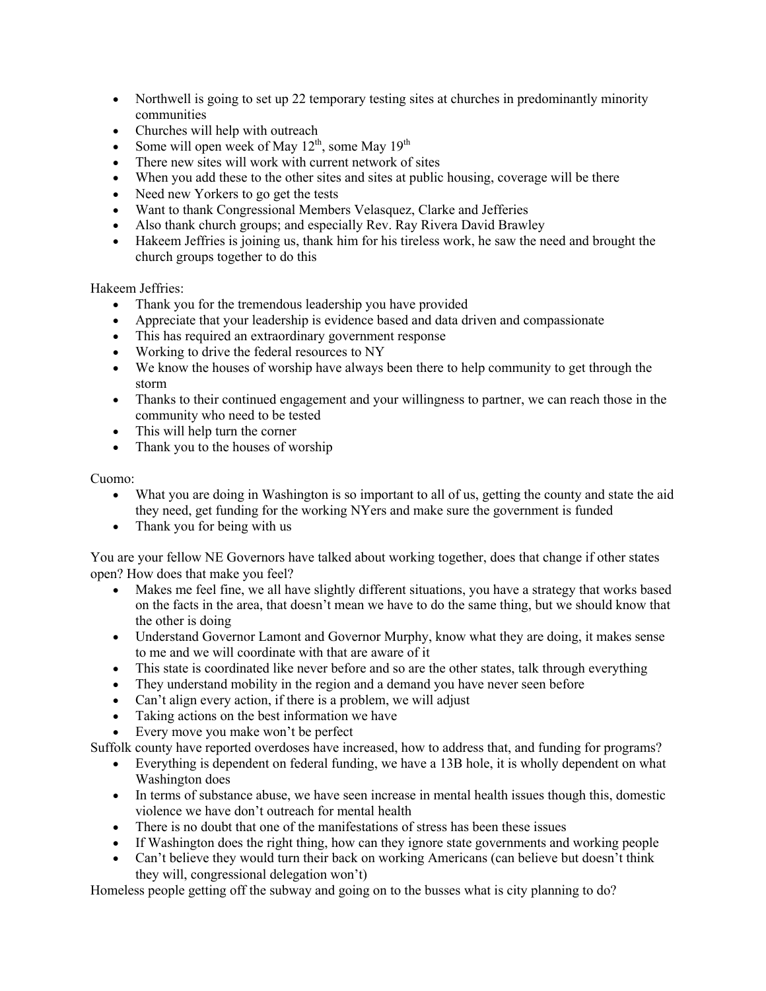- Northwell is going to set up 22 temporary testing sites at churches in predominantly minority communities
- Churches will help with outreach
- Some will open week of May  $12^{th}$ , some May  $19^{th}$
- There new sites will work with current network of sites
- When you add these to the other sites and sites at public housing, coverage will be there
- Need new Yorkers to go get the tests
- Want to thank Congressional Members Velasquez, Clarke and Jefferies
- Also thank church groups; and especially Rev. Ray Rivera David Brawley
- Hakeem Jeffries is joining us, thank him for his tireless work, he saw the need and brought the church groups together to do this

Hakeem Jeffries:

- Thank you for the tremendous leadership you have provided
- Appreciate that your leadership is evidence based and data driven and compassionate
- This has required an extraordinary government response
- Working to drive the federal resources to NY
- We know the houses of worship have always been there to help community to get through the storm
- Thanks to their continued engagement and your willingness to partner, we can reach those in the community who need to be tested
- This will help turn the corner
- Thank you to the houses of worship

Cuomo:

- What you are doing in Washington is so important to all of us, getting the county and state the aid they need, get funding for the working NYers and make sure the government is funded
- Thank you for being with us

You are your fellow NE Governors have talked about working together, does that change if other states open? How does that make you feel?

- Makes me feel fine, we all have slightly different situations, you have a strategy that works based on the facts in the area, that doesn't mean we have to do the same thing, but we should know that the other is doing
- Understand Governor Lamont and Governor Murphy, know what they are doing, it makes sense to me and we will coordinate with that are aware of it
- This state is coordinated like never before and so are the other states, talk through everything
- They understand mobility in the region and a demand you have never seen before
- Can't align every action, if there is a problem, we will adjust
- Taking actions on the best information we have
- Every move you make won't be perfect

Suffolk county have reported overdoses have increased, how to address that, and funding for programs?

- Everything is dependent on federal funding, we have a 13B hole, it is wholly dependent on what Washington does
- In terms of substance abuse, we have seen increase in mental health issues though this, domestic violence we have don't outreach for mental health
- There is no doubt that one of the manifestations of stress has been these issues
- If Washington does the right thing, how can they ignore state governments and working people
- Can't believe they would turn their back on working Americans (can believe but doesn't think they will, congressional delegation won't)

Homeless people getting off the subway and going on to the busses what is city planning to do?